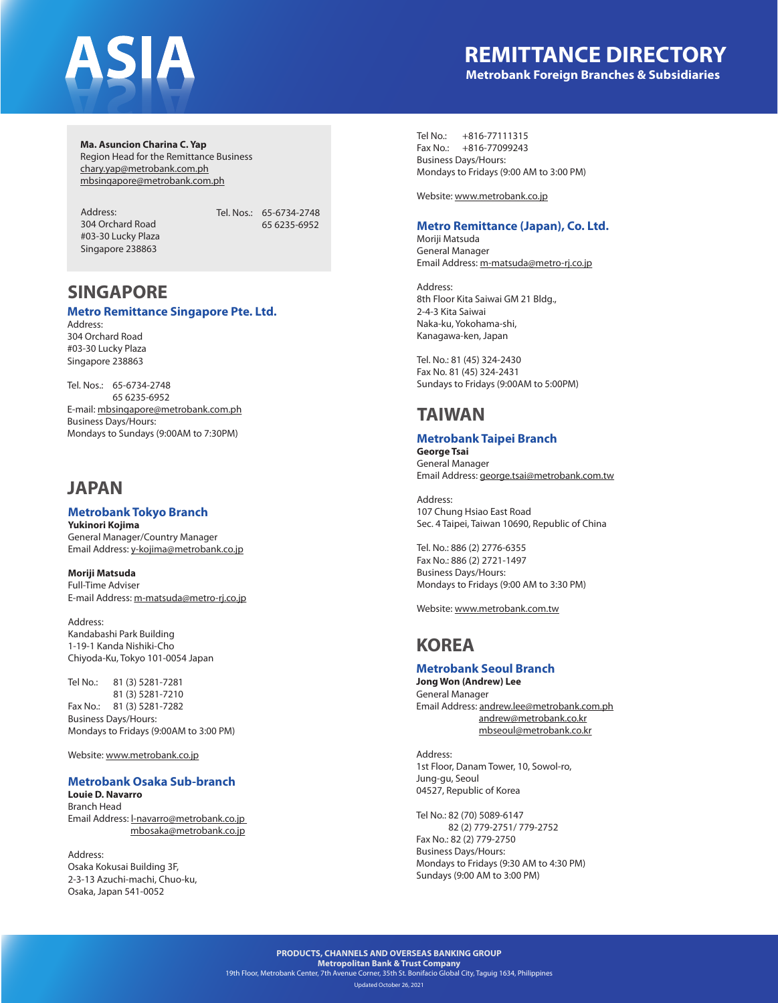### **REMITTANCE DIRECTORY Metrobank Foreign Branches & Subsidiaries**

**Ma. Asuncion Charina C. Yap** Region Head for the Remittance Business

chary.yap@metrobank.com.ph mbsingapore@metrobank.com.ph

Address: 304 Orchard Road #03-30 Lucky Plaza Singapore 238863

Tel. Nos.: 65-6734-2748 65 6235-6952

# **SINGAPORE**

#### **Metro Remittance Singapore Pte. Ltd.**

Address: 304 Orchard Road #03-30 Lucky Plaza Singapore 238863

Tel. Nos.: 65-6734-2748 65 6235-6952 E-mail: mbsingapore@metrobank.com.ph Business Days/Hours: Mondays to Sundays (9:00AM to 7:30PM)

### **JAPAN**

#### **Metrobank Tokyo Branch**

**Yukinori Kojima** General Manager/Country Manager Email Address: y-kojima@metrobank.co.jp

**Moriji Matsuda** Full-Time Adviser E-mail Address: m-matsuda@metro-rj.co.jp

Address: Kandabashi Park Building 1-19-1 Kanda Nishiki-Cho Chiyoda-Ku, Tokyo 101-0054 Japan

Tel No.: 81 (3) 5281-7281 81 (3) 5281-7210 Fax No.: 81 (3) 5281-7282 Business Days/Hours: Mondays to Fridays (9:00AM to 3:00 PM)

Website: www.metrobank.co.jp

#### **Metrobank Osaka Sub-branch**

**Louie D. Navarro** Branch Head Email Address: l-navarro@metrobank.co.jp mbosaka@metrobank.co.jp

Address: Osaka Kokusai Building 3F, 2-3-13 Azuchi-machi, Chuo-ku, Osaka, Japan 541-0052

Tel No.: +816-77111315 Fax No.: +816-77099243 Business Days/Hours: Mondays to Fridays (9:00 AM to 3:00 PM)

Website: www.metrobank.co.jp

#### **Metro Remittance (Japan), Co. Ltd.**

Moriji Matsuda General Manager Email Address: m-matsuda@metro-rj.co.jp

Address: 8th Floor Kita Saiwai GM 21 Bldg., 2-4-3 Kita Saiwai Naka-ku, Yokohama-shi, Kanagawa-ken, Japan

Tel. No.: 81 (45) 324-2430 Fax No. 81 (45) 324-2431 Sundays to Fridays (9:00AM to 5:00PM)

### **TAIWAN**

### **Metrobank Taipei Branch**

**George Tsai** General Manager Email Address: george.tsai@metrobank.com.tw

Address: 107 Chung Hsiao East Road Sec. 4 Taipei, Taiwan 10690, Republic of China

Tel. No.: 886 (2) 2776-6355 Fax No.: 886 (2) 2721-1497 Business Days/Hours: Mondays to Fridays (9:00 AM to 3:30 PM)

Website: www.metrobank.com.tw

## **KOREA**

### **Metrobank Seoul Branch**

**Jong Won (Andrew) Lee** General Manager Email Address: andrew.lee@metrobank.com.ph andrew@metrobank.co.kr mbseoul@metrobank.co.kr

Address: 1st Floor, Danam Tower, 10, Sowol-ro, Jung-gu, Seoul 04527, Republic of Korea

Tel No.: 82 (70) 5089-6147 82 (2) 779-2751/ 779-2752 Fax No.: 82 (2) 779-2750 Business Days/Hours: Mondays to Fridays (9:30 AM to 4:30 PM) Sundays (9:00 AM to 3:00 PM)

**PRODUCTS, CHANNELS AND OVERSEAS BANKING GROUP Metropolitan Bank & Trust Company** 19th Floor, Metrobank Center, 7th Avenue Corner, 35th St. Bonifacio Global City, Taguig 1634, Philippines Updated October 26, 2021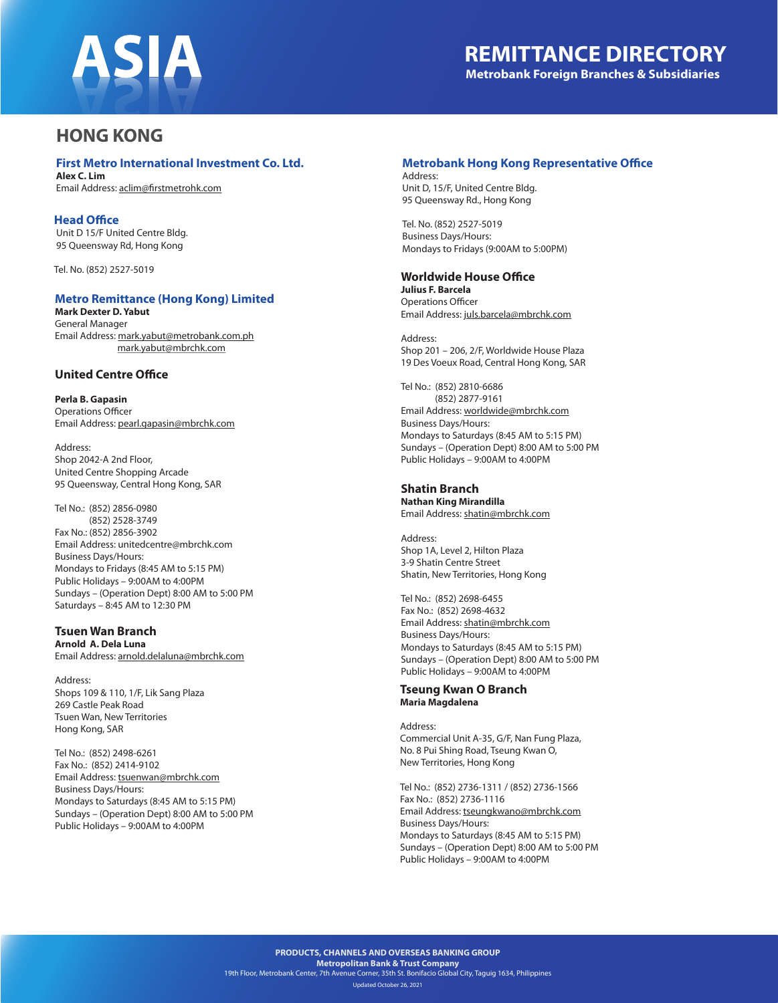

### **HONG KONG**

#### **First Metro International Investment Co. Ltd.**

**Alex C. Lim** Email Address: aclim@firstmetrohk.com

#### **Head Office**

 Unit D 15/F United Centre Bldg. 95 Queensway Rd, Hong Kong

Tel. No. (852) 2527-5019

#### **Metro Remittance (Hong Kong) Limited**

**Mark Dexter D. Yabut** General Manager Email Address: mark.yabut@metrobank.com.ph mark.yabut@mbrchk.com

#### **United Centre Office**

**Perla B. Gapasin** Operations Officer Email Address: pearl.gapasin@mbrchk.com

Address: Shop 2042-A 2nd Floor, United Centre Shopping Arcade 95 Queensway, Central Hong Kong, SAR

Tel No.: (852) 2856-0980 (852) 2528-3749 Fax No.: (852) 2856-3902 Email Address: unitedcentre@mbrchk.com Business Days/Hours: Mondays to Fridays (8:45 AM to 5:15 PM) Public Holidays – 9:00AM to 4:00PM Sundays – (Operation Dept) 8:00 AM to 5:00 PM Saturdays – 8:45 AM to 12:30 PM

#### **Tsuen Wan Branch Arnold A. Dela Luna**

Email Address: arnold.delaluna@mbrchk.com

Address: Shops 109 & 110, 1/F, Lik Sang Plaza 269 Castle Peak Road Tsuen Wan, New Territories Hong Kong, SAR

Tel No.: (852) 2498-6261 Fax No.: (852) 2414-9102 Email Address: tsuenwan@mbrchk.com Business Days/Hours: Mondays to Saturdays (8:45 AM to 5:15 PM) Sundays – (Operation Dept) 8:00 AM to 5:00 PM Public Holidays – 9:00AM to 4:00PM

#### **Metrobank Hong Kong Representative Office**

Address: Unit D, 15/F, United Centre Bldg. 95 Queensway Rd., Hong Kong

Tel. No. (852) 2527-5019 Business Days/Hours: Mondays to Fridays (9:00AM to 5:00PM)

#### **Worldwide House Office**

**Julius F. Barcela** Operations Officer Email Address: juls.barcela@mbrchk.com

Address: Shop 201 – 206, 2/F, Worldwide House Plaza 19 Des Voeux Road, Central Hong Kong, SAR

Tel No.: (852) 2810-6686 (852) 2877-9161 Email Address: worldwide@mbrchk.com Business Days/Hours: Mondays to Saturdays (8:45 AM to 5:15 PM) Sundays – (Operation Dept) 8:00 AM to 5:00 PM Public Holidays – 9:00AM to 4:00PM

#### **Shatin Branch**

**Nathan King Mirandilla** Email Address: shatin@mbrchk.com

Address: Shop 1A, Level 2, Hilton Plaza 3-9 Shatin Centre Street Shatin, New Territories, Hong Kong

Tel No.: (852) 2698-6455 Fax No.: (852) 2698-4632 Email Address: shatin@mbrchk.com Business Days/Hours: Mondays to Saturdays (8:45 AM to 5:15 PM) Sundays – (Operation Dept) 8:00 AM to 5:00 PM Public Holidays – 9:00AM to 4:00PM

#### **Tseung Kwan O Branch Maria Magdalena**

Address: Commercial Unit A-35, G/F, Nan Fung Plaza, No. 8 Pui Shing Road, Tseung Kwan O, New Territories, Hong Kong

Tel No.: (852) 2736-1311 / (852) 2736-1566 Fax No.: (852) 2736-1116 Email Address: tseungkwano@mbrchk.com Business Days/Hours: Mondays to Saturdays (8:45 AM to 5:15 PM) Sundays – (Operation Dept) 8:00 AM to 5:00 PM Public Holidays – 9:00AM to 4:00PM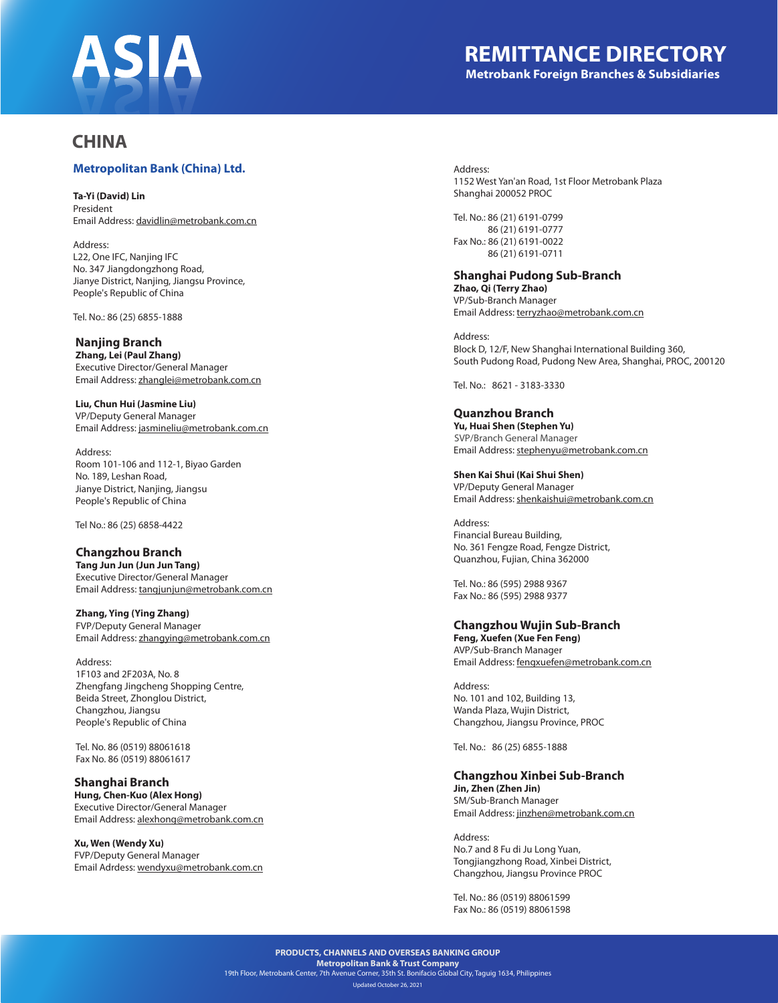

### **REMITTANCE DIRECTORY Metrobank Foreign Branches & Subsidiaries**

### **CHINA**

#### **Metropolitan Bank (China) Ltd.**

**Ta-Yi (David) Lin**

President Email Address: davidlin@metrobank.com.cn

Address: L22, One IFC, Nanjing IFC No. 347 Jiangdongzhong Road, Jianye District, Nanjing, Jiangsu Province, People's Republic of China

Tel. No.: 86 (25) 6855-1888

#### **Nanjing Branch**

**Zhang, Lei (Paul Zhang)** Executive Director/General Manager Email Address: zhanglei@metrobank.com.cn

**Liu, Chun Hui (Jasmine Liu)** VP/Deputy General Manager Email Address: jasmineliu@metrobank.com.cn

Address: Room 101-106 and 112-1, Biyao Garden No. 189, Leshan Road, Jianye District, Nanjing, Jiangsu People's Republic of China

Tel No.: 86 (25) 6858-4422

### **Changzhou Branch**

**Tang Jun Jun (Jun Jun Tang)** Executive Director/General Manager Email Address: tangjunjun@metrobank.com.cn

**Zhang, Ying (Ying Zhang)** FVP/Deputy General Manager Email Address: zhangying@metrobank.com.cn

Address: 1F103 and 2F203A, No. 8 Zhengfang Jingcheng Shopping Centre, Beida Street, Zhonglou District, Changzhou, Jiangsu People's Republic of China

Tel. No. 86 (0519) 88061618 Fax No. 86 (0519) 88061617

**Shanghai Branch Hung, Chen-Kuo (Alex Hong)** Executive Director/General Manager Email Address: alexhong@metrobank.com.cn

**Xu, Wen (Wendy Xu)** FVP/Deputy General Manager Email Adrdess: wendyxu@metrobank.com.cn Address: 1152 West Yan'an Road, 1st Floor Metrobank Plaza Shanghai 200052 PROC

Tel. No.: 86 (21) 6191-0799 86 (21) 6191-0777 Fax No.: 86 (21) 6191-0022 86 (21) 6191-0711

### **Shanghai Pudong Sub-Branch**

**Zhao, Qi (Terry Zhao)** VP/Sub-Branch Manager Email Address: terryzhao@metrobank.com.cn

Address: Block D, 12/F, New Shanghai International Building 360, South Pudong Road, Pudong New Area, Shanghai, PROC, 200120

Tel. No.: 8621 - 3183-3330

**Quanzhou Branch Yu, Huai Shen (Stephen Yu)** Email Address: stephenyu@metrobank.com.cn SVP/Branch General Manager

**Shen Kai Shui (Kai Shui Shen)** VP/Deputy General Manager Email Address: shenkaishui@metrobank.com.cn

Address: Financial Bureau Building, No. 361 Fengze Road, Fengze District, Quanzhou, Fujian, China 362000

Tel. No.: 86 (595) 2988 9367 Fax No.: 86 (595) 2988 9377

#### **Changzhou Wujin Sub-Branch**

**Feng, Xuefen (Xue Fen Feng)** AVP/Sub-Branch Manager Email Address: fengxuefen@metrobank.com.cn

Address: No. 101 and 102, Building 13, Wanda Plaza, Wujin District, Changzhou, Jiangsu Province, PROC

Tel. No.: 86 (25) 6855-1888

### **Changzhou Xinbei Sub-Branch**

**Jin, Zhen (Zhen Jin)** SM/Sub-Branch Manager Email Address: jinzhen@metrobank.com.cn

Address: No.7 and 8 Fu di Ju Long Yuan, Tongjiangzhong Road, Xinbei District, Changzhou, Jiangsu Province PROC

Tel. No.: 86 (0519) 88061599 Fax No.: 86 (0519) 88061598

**PRODUCTS, CHANNELS AND OVERSEAS BANKING GROUP Metropolitan Bank & Trust Company** 19th Floor, Metrobank Center, 7th Avenue Corner, 35th St. Bonifacio Global City, Taguig 1634, Philippines

Updated October 26, 2021